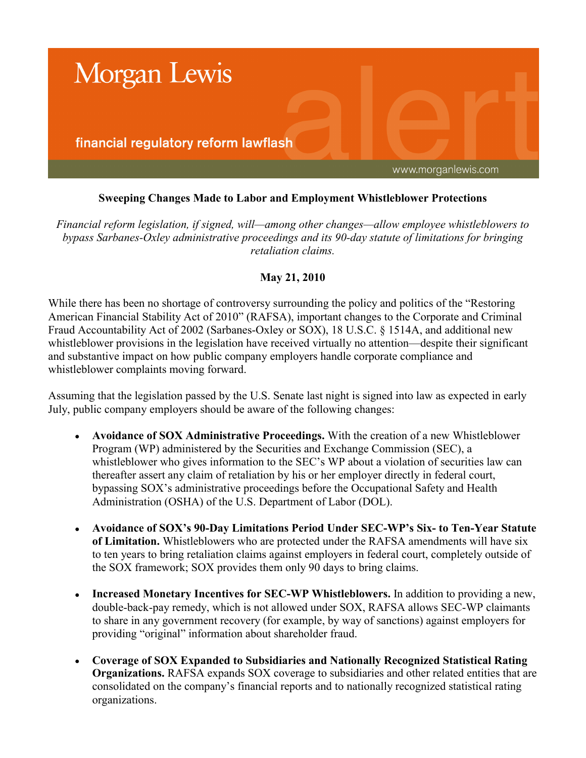

# **Sweeping Changes Made to Labor and Employment Whistleblower Protections**

*Financial reform legislation, if signed, will—among other changes—allow employee whistleblowers to bypass Sarbanes-Oxley administrative proceedings and its 90-day statute of limitations for bringing retaliation claims.*

## **May 21, 2010**

While there has been no shortage of controversy surrounding the policy and politics of the "Restoring American Financial Stability Act of 2010" (RAFSA), important changes to the Corporate and Criminal Fraud Accountability Act of 2002 (Sarbanes-Oxley or SOX), 18 U.S.C. § 1514A, and additional new whistleblower provisions in the legislation have received virtually no attention—despite their significant and substantive impact on how public company employers handle corporate compliance and whistleblower complaints moving forward.

Assuming that the legislation passed by the U.S. Senate last night is signed into law as expected in early July, public company employers should be aware of the following changes:

- **Avoidance of SOX Administrative Proceedings.** With the creation of a new Whistleblower Program (WP) administered by the Securities and Exchange Commission (SEC), a whistleblower who gives information to the SEC's WP about a violation of securities law can thereafter assert any claim of retaliation by his or her employer directly in federal court, bypassing SOX's administrative proceedings before the Occupational Safety and Health Administration (OSHA) of the U.S. Department of Labor (DOL).
- **Avoidance of SOX's 90-Day Limitations Period Under SEC-WP's Six- to Ten-Year Statute of Limitation.** Whistleblowers who are protected under the RAFSA amendments will have six to ten years to bring retaliation claims against employers in federal court, completely outside of the SOX framework; SOX provides them only 90 days to bring claims.
- **Increased Monetary Incentives for SEC-WP Whistleblowers.** In addition to providing a new, double-back-pay remedy, which is not allowed under SOX, RAFSA allows SEC-WP claimants to share in any government recovery (for example, by way of sanctions) against employers for providing "original" information about shareholder fraud.
- **Coverage of SOX Expanded to Subsidiaries and Nationally Recognized Statistical Rating Organizations.** RAFSA expands SOX coverage to subsidiaries and other related entities that are consolidated on the company's financial reports and to nationally recognized statistical rating organizations.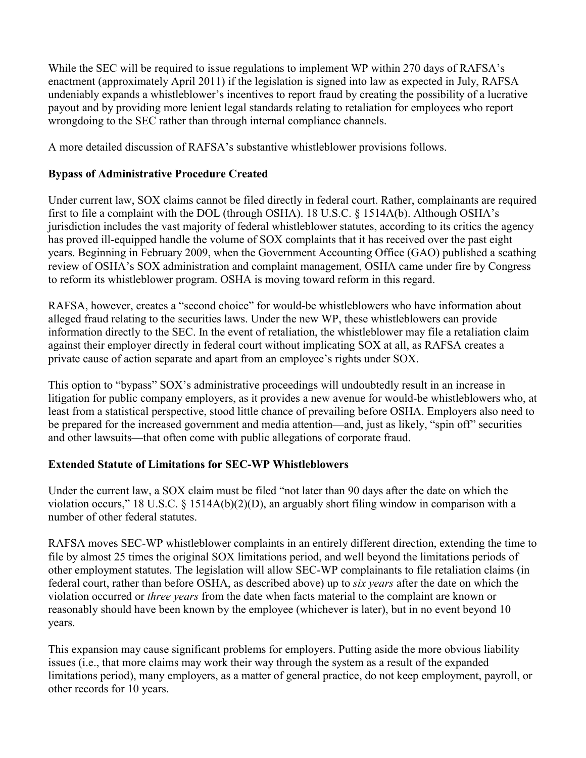While the SEC will be required to issue regulations to implement WP within 270 days of RAFSA's enactment (approximately April 2011) if the legislation is signed into law as expected in July, RAFSA undeniably expands a whistleblower's incentives to report fraud by creating the possibility of a lucrative payout and by providing more lenient legal standards relating to retaliation for employees who report wrongdoing to the SEC rather than through internal compliance channels.

A more detailed discussion of RAFSA's substantive whistleblower provisions follows.

## **Bypass of Administrative Procedure Created**

Under current law, SOX claims cannot be filed directly in federal court. Rather, complainants are required first to file a complaint with the DOL (through OSHA). 18 U.S.C. § 1514A(b). Although OSHA's jurisdiction includes the vast majority of federal whistleblower statutes, according to its critics the agency has proved ill-equipped handle the volume of SOX complaints that it has received over the past eight years. Beginning in February 2009, when the Government Accounting Office (GAO) published a scathing review of OSHA's SOX administration and complaint management, OSHA came under fire by Congress to reform its whistleblower program. OSHA is moving toward reform in this regard.

RAFSA, however, creates a "second choice" for would-be whistleblowers who have information about alleged fraud relating to the securities laws. Under the new WP, these whistleblowers can provide information directly to the SEC. In the event of retaliation, the whistleblower may file a retaliation claim against their employer directly in federal court without implicating SOX at all, as RAFSA creates a private cause of action separate and apart from an employee's rights under SOX.

This option to "bypass" SOX's administrative proceedings will undoubtedly result in an increase in litigation for public company employers, as it provides a new avenue for would-be whistleblowers who, at least from a statistical perspective, stood little chance of prevailing before OSHA. Employers also need to be prepared for the increased government and media attention—and, just as likely, "spin off" securities and other lawsuits—that often come with public allegations of corporate fraud.

## **Extended Statute of Limitations for SEC-WP Whistleblowers**

Under the current law, a SOX claim must be filed "not later than 90 days after the date on which the violation occurs," 18 U.S.C. § 1514A(b)(2)(D), an arguably short filing window in comparison with a number of other federal statutes.

RAFSA moves SEC-WP whistleblower complaints in an entirely different direction, extending the time to file by almost 25 times the original SOX limitations period, and well beyond the limitations periods of other employment statutes. The legislation will allow SEC-WP complainants to file retaliation claims (in federal court, rather than before OSHA, as described above) up to *six years* after the date on which the violation occurred or *three years* from the date when facts material to the complaint are known or reasonably should have been known by the employee (whichever is later), but in no event beyond 10 years.

This expansion may cause significant problems for employers. Putting aside the more obvious liability issues (i.e., that more claims may work their way through the system as a result of the expanded limitations period), many employers, as a matter of general practice, do not keep employment, payroll, or other records for 10 years.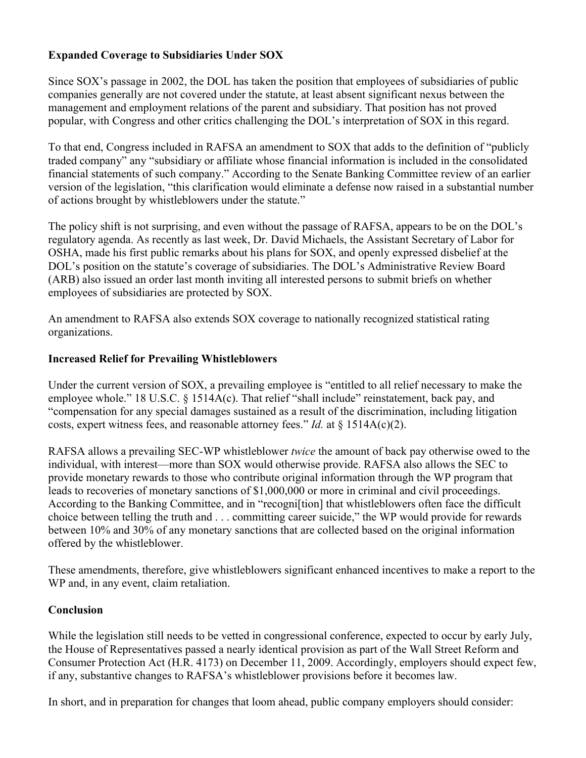# **Expanded Coverage to Subsidiaries Under SOX**

Since SOX's passage in 2002, the DOL has taken the position that employees of subsidiaries of public companies generally are not covered under the statute, at least absent significant nexus between the management and employment relations of the parent and subsidiary. That position has not proved popular, with Congress and other critics challenging the DOL's interpretation of SOX in this regard.

To that end, Congress included in RAFSA an amendment to SOX that adds to the definition of "publicly traded company" any "subsidiary or affiliate whose financial information is included in the consolidated financial statements of such company." According to the Senate Banking Committee review of an earlier version of the legislation, "this clarification would eliminate a defense now raised in a substantial number of actions brought by whistleblowers under the statute."

The policy shift is not surprising, and even without the passage of RAFSA, appears to be on the DOL's regulatory agenda. As recently as last week, Dr. David Michaels, the Assistant Secretary of Labor for OSHA, made his first public remarks about his plans for SOX, and openly expressed disbelief at the DOL's position on the statute's coverage of subsidiaries. The DOL's Administrative Review Board (ARB) also issued an order last month inviting all interested persons to submit briefs on whether employees of subsidiaries are protected by SOX.

An amendment to RAFSA also extends SOX coverage to nationally recognized statistical rating organizations.

#### **Increased Relief for Prevailing Whistleblowers**

Under the current version of SOX, a prevailing employee is "entitled to all relief necessary to make the employee whole." 18 U.S.C. § 1514A(c). That relief "shall include" reinstatement, back pay, and "compensation for any special damages sustained as a result of the discrimination, including litigation costs, expert witness fees, and reasonable attorney fees." *Id.* at § 1514A(c)(2).

RAFSA allows a prevailing SEC-WP whistleblower *twice* the amount of back pay otherwise owed to the individual, with interest—more than SOX would otherwise provide. RAFSA also allows the SEC to provide monetary rewards to those who contribute original information through the WP program that leads to recoveries of monetary sanctions of \$1,000,000 or more in criminal and civil proceedings. According to the Banking Committee, and in "recogni[tion] that whistleblowers often face the difficult choice between telling the truth and . . . committing career suicide," the WP would provide for rewards between 10% and 30% of any monetary sanctions that are collected based on the original information offered by the whistleblower.

These amendments, therefore, give whistleblowers significant enhanced incentives to make a report to the WP and, in any event, claim retaliation.

## **Conclusion**

While the legislation still needs to be vetted in congressional conference, expected to occur by early July, the House of Representatives passed a nearly identical provision as part of the Wall Street Reform and Consumer Protection Act (H.R. 4173) on December 11, 2009. Accordingly, employers should expect few, if any, substantive changes to RAFSA's whistleblower provisions before it becomes law.

In short, and in preparation for changes that loom ahead, public company employers should consider: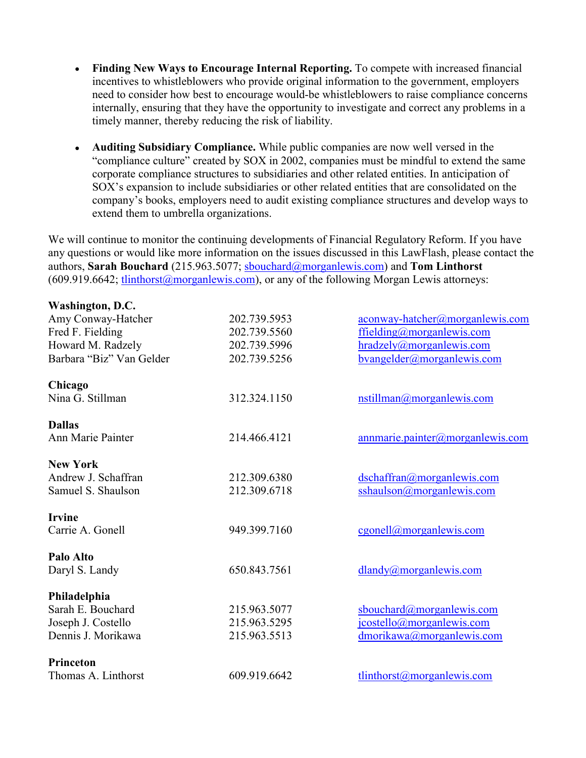- **Finding New Ways to Encourage Internal Reporting.** To compete with increased financial incentives to whistleblowers who provide original information to the government, employers need to consider how best to encourage would-be whistleblowers to raise compliance concerns internally, ensuring that they have the opportunity to investigate and correct any problems in a timely manner, thereby reducing the risk of liability.
- **Auditing Subsidiary Compliance.** While public companies are now well versed in the "compliance culture" created by SOX in 2002, companies must be mindful to extend the same corporate compliance structures to subsidiaries and other related entities. In anticipation of SOX's expansion to include subsidiaries or other related entities that are consolidated on the company's books, employers need to audit existing compliance structures and develop ways to extend them to umbrella organizations.

We will continue to monitor the continuing developments of Financial Regulatory Reform. If you have any questions or would like more information on the issues discussed in this LawFlash, please contact the authors, **Sarah Bouchard** (215.963.5077; [sbouchard@morganlewis.com](mailto:sbouchard@morganlewis.com)) and **Tom Linthorst**   $(609.919.6642; tlinthorst@morganlewis.com)$  $(609.919.6642; tlinthorst@morganlewis.com)$  $(609.919.6642; tlinthorst@morganlewis.com)$ , or any of the following Morgan Lewis attorneys:

| Washington, D.C.         |              |                                     |
|--------------------------|--------------|-------------------------------------|
| Amy Conway-Hatcher       | 202.739.5953 | aconway-hatcher@morganlewis.com     |
| Fred F. Fielding         | 202.739.5560 | ffielding@morganlewis.com           |
| Howard M. Radzely        | 202.739.5996 | hradzely@morganlewis.com            |
| Barbara "Biz" Van Gelder | 202.739.5256 | $b$ vangelder@morganlewis.com       |
| Chicago                  |              |                                     |
| Nina G. Stillman         | 312.324.1150 | nstillman@morganlewis.com           |
| <b>Dallas</b>            |              |                                     |
| Ann Marie Painter        | 214.466.4121 | $annmarie$ .painter@morganlewis.com |
| <b>New York</b>          |              |                                     |
| Andrew J. Schaffran      | 212.309.6380 | dschaffran@morganlewis.com          |
| Samuel S. Shaulson       | 212.309.6718 | sshaulson@morganlewis.com           |
| <b>Irvine</b>            |              |                                     |
| Carrie A. Gonell         | 949.399.7160 | cgonell@morganlewis.com             |
| Palo Alto                |              |                                     |
| Daryl S. Landy           | 650.843.7561 | dlandy@morganlewis.com              |
| Philadelphia             |              |                                     |
| Sarah E. Bouchard        | 215.963.5077 | sbouchard@morganlewis.com           |
| Joseph J. Costello       | 215.963.5295 | jcostello@morganlewis.com           |
| Dennis J. Morikawa       | 215.963.5513 | dmorikawa@morganlewis.com           |
| Princeton                |              |                                     |
| Thomas A. Linthorst      | 609.919.6642 | tlinthorst@morganlewis.com          |
|                          |              |                                     |